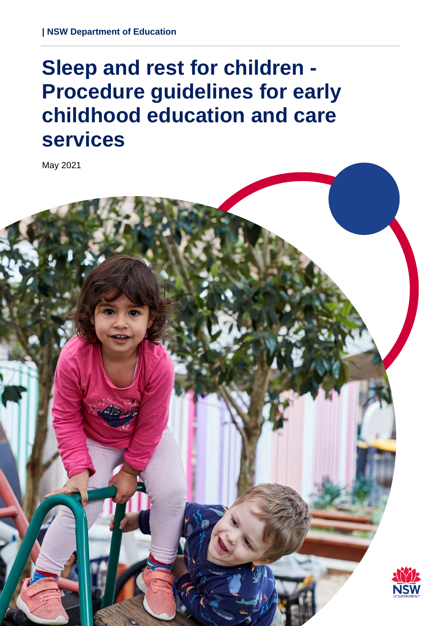# **Sleep and rest for children - Procedure guidelines for early childhood education and care services**

May 2021

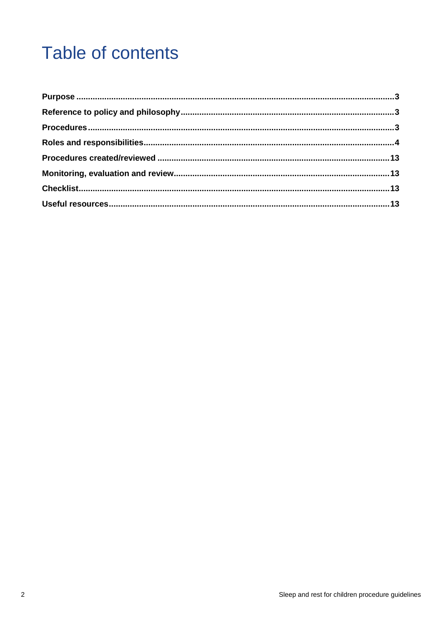## **Table of contents**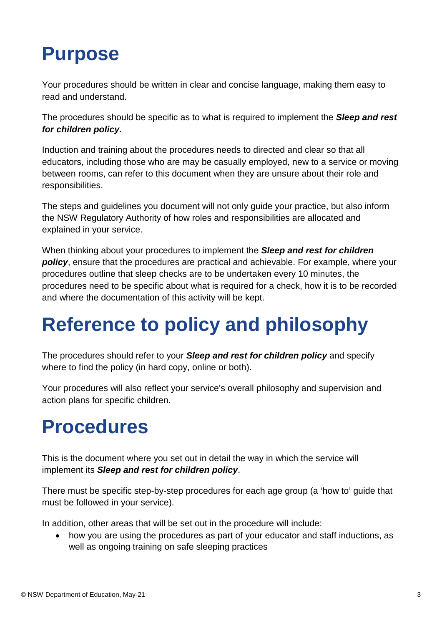#### <span id="page-2-0"></span>**Purpose**

Your procedures should be written in clear and concise language, making them easy to read and understand.

The procedures should be specific as to what is required to implement the *Sleep and rest for children policy.*

Induction and training about the procedures needs to directed and clear so that all educators, including those who are may be casually employed, new to a service or moving between rooms, can refer to this document when they are unsure about their role and responsibilities.

The steps and guidelines you document will not only guide your practice, but also inform the NSW Regulatory Authority of how roles and responsibilities are allocated and explained in your service.

When thinking about your procedures to implement the *Sleep and rest for children policy*, ensure that the procedures are practical and achievable. For example, where your procedures outline that sleep checks are to be undertaken every 10 minutes, the procedures need to be specific about what is required for a check, how it is to be recorded and where the documentation of this activity will be kept.

## <span id="page-2-1"></span>**Reference to policy and philosophy**

The procedures should refer to your *Sleep and rest for children policy* and specify where to find the policy (in hard copy, online or both).

Your procedures will also reflect your service's overall philosophy and supervision and action plans for specific children.

#### <span id="page-2-2"></span>**Procedures**

This is the document where you set out in detail the way in which the service will implement its *Sleep and rest for children policy*.

There must be specific step-by-step procedures for each age group (a 'how to' guide that must be followed in your service).

In addition, other areas that will be set out in the procedure will include:

• how you are using the procedures as part of your educator and staff inductions, as well as ongoing training on safe sleeping practices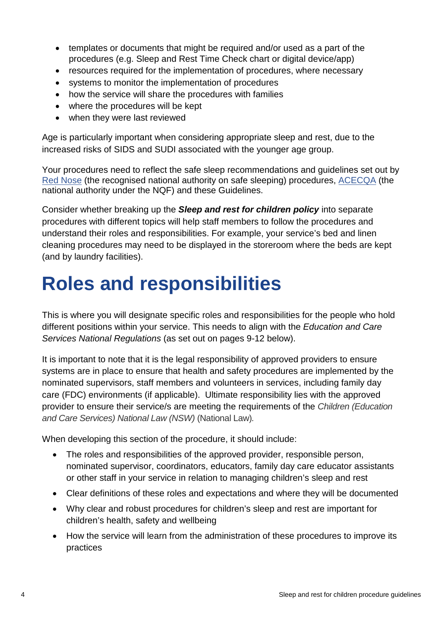- templates or documents that might be required and/or used as a part of the procedures (e.g. Sleep and Rest Time Check chart or digital device/app)
- resources required for the implementation of procedures, where necessary
- systems to monitor the implementation of procedures
- how the service will share the procedures with families
- where the procedures will be kept
- when they were last reviewed

Age is particularly important when considering appropriate sleep and rest, due to the increased risks of SIDS and SUDI associated with the younger age group.

Your procedures need to reflect the safe sleep recommendations and guidelines set out by [Red Nose](https://rednose.org.au/section/safe-sleeping) (the recognised national authority on safe sleeping) procedures, [ACECQA](https://www.acecqa.gov.au/resources/supporting-materials/infosheet/safe-sleep-and-rest-practices) (the national authority under the NQF) and these Guidelines.

Consider whether breaking up the *Sleep and rest for children policy* into separate procedures with different topics will help staff members to follow the procedures and understand their roles and responsibilities. For example, your service's bed and linen cleaning procedures may need to be displayed in the storeroom where the beds are kept (and by laundry facilities).

#### <span id="page-3-0"></span>**Roles and responsibilities**

This is where you will designate specific roles and responsibilities for the people who hold different positions within your service. This needs to align with the *Education and Care Services National Regulations* (as set out on pages 9-12 below).

It is important to note that it is the legal responsibility of approved providers to ensure systems are in place to ensure that health and safety procedures are implemented by the nominated supervisors, staff members and volunteers in services, including family day care (FDC) environments (if applicable). Ultimate responsibility lies with the approved provider to ensure their service/s are meeting the requirements of the *Children (Education and Care Services) National Law (NSW)* (National Law)*.*

When developing this section of the procedure, it should include:

- The roles and responsibilities of the approved provider, responsible person, nominated supervisor, coordinators, educators, family day care educator assistants or other staff in your service in relation to managing children's sleep and rest
- Clear definitions of these roles and expectations and where they will be documented
- Why clear and robust procedures for children's sleep and rest are important for children's health, safety and wellbeing
- How the service will learn from the administration of these procedures to improve its practices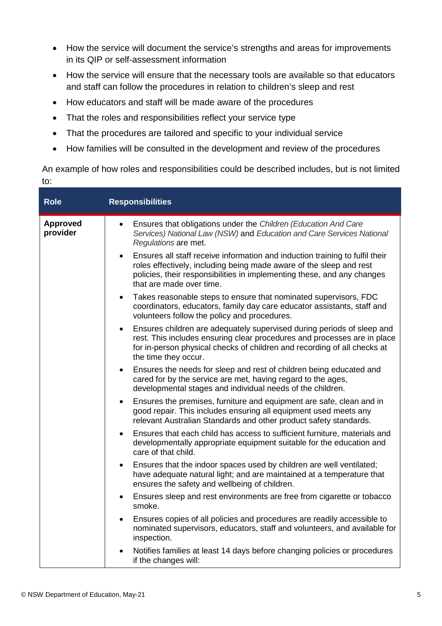- How the service will document the service's strengths and areas for improvements in its QIP or self-assessment information
- How the service will ensure that the necessary tools are available so that educators and staff can follow the procedures in relation to children's sleep and rest
- How educators and staff will be made aware of the procedures
- That the roles and responsibilities reflect your service type
- That the procedures are tailored and specific to your individual service
- How families will be consulted in the development and review of the procedures

An example of how roles and responsibilities could be described includes, but is not limited to:

| <b>Role</b>                 | <b>Responsibilities</b>                                                                                                                                                                                                                                             |
|-----------------------------|---------------------------------------------------------------------------------------------------------------------------------------------------------------------------------------------------------------------------------------------------------------------|
| <b>Approved</b><br>provider | Ensures that obligations under the Children (Education And Care<br>$\bullet$<br>Services) National Law (NSW) and Education and Care Services National<br>Regulations are met.                                                                                       |
|                             | Ensures all staff receive information and induction training to fulfil their<br>roles effectively, including being made aware of the sleep and rest<br>policies, their responsibilities in implementing these, and any changes<br>that are made over time.          |
|                             | Takes reasonable steps to ensure that nominated supervisors, FDC<br>$\bullet$<br>coordinators, educators, family day care educator assistants, staff and<br>volunteers follow the policy and procedures.                                                            |
|                             | Ensures children are adequately supervised during periods of sleep and<br>$\bullet$<br>rest. This includes ensuring clear procedures and processes are in place<br>for in-person physical checks of children and recording of all checks at<br>the time they occur. |
|                             | Ensures the needs for sleep and rest of children being educated and<br>$\bullet$<br>cared for by the service are met, having regard to the ages,<br>developmental stages and individual needs of the children.                                                      |
|                             | Ensures the premises, furniture and equipment are safe, clean and in<br>$\bullet$<br>good repair. This includes ensuring all equipment used meets any<br>relevant Australian Standards and other product safety standards.                                          |
|                             | Ensures that each child has access to sufficient furniture, materials and<br>developmentally appropriate equipment suitable for the education and<br>care of that child.                                                                                            |
|                             | Ensures that the indoor spaces used by children are well ventilated;<br>$\bullet$<br>have adequate natural light; and are maintained at a temperature that<br>ensures the safety and wellbeing of children.                                                         |
|                             | Ensures sleep and rest environments are free from cigarette or tobacco<br>$\bullet$<br>smoke.                                                                                                                                                                       |
|                             | Ensures copies of all policies and procedures are readily accessible to<br>$\bullet$<br>nominated supervisors, educators, staff and volunteers, and available for<br>inspection.                                                                                    |
|                             | Notifies families at least 14 days before changing policies or procedures<br>if the changes will:                                                                                                                                                                   |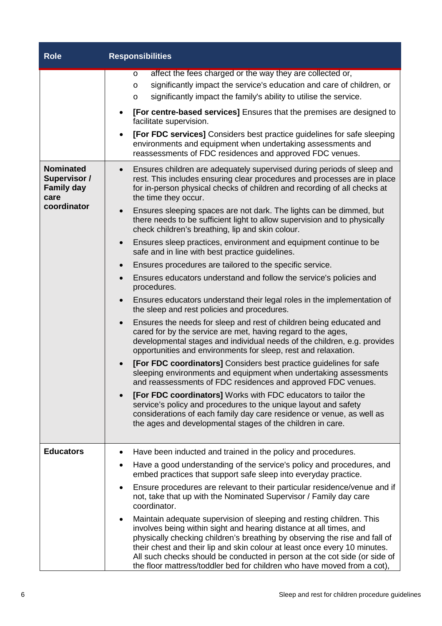| <b>Role</b>                                                          | <b>Responsibilities</b>                                                                                                                                                                                                                                                                                                                                                                                                                                            |
|----------------------------------------------------------------------|--------------------------------------------------------------------------------------------------------------------------------------------------------------------------------------------------------------------------------------------------------------------------------------------------------------------------------------------------------------------------------------------------------------------------------------------------------------------|
|                                                                      | affect the fees charged or the way they are collected or,<br>O<br>significantly impact the service's education and care of children, or<br>O<br>significantly impact the family's ability to utilise the service.<br>O<br>[For centre-based services] Ensures that the premises are designed to<br>facilitate supervision.<br><b>[For FDC services]</b> Considers best practice guidelines for safe sleeping<br>$\bullet$                                          |
|                                                                      | environments and equipment when undertaking assessments and<br>reassessments of FDC residences and approved FDC venues.                                                                                                                                                                                                                                                                                                                                            |
| <b>Nominated</b><br><b>Supervisor /</b><br><b>Family day</b><br>care | Ensures children are adequately supervised during periods of sleep and<br>$\bullet$<br>rest. This includes ensuring clear procedures and processes are in place<br>for in-person physical checks of children and recording of all checks at<br>the time they occur.                                                                                                                                                                                                |
| coordinator                                                          | Ensures sleeping spaces are not dark. The lights can be dimmed, but<br>$\bullet$<br>there needs to be sufficient light to allow supervision and to physically<br>check children's breathing, lip and skin colour.                                                                                                                                                                                                                                                  |
|                                                                      | Ensures sleep practices, environment and equipment continue to be<br>$\bullet$<br>safe and in line with best practice guidelines.                                                                                                                                                                                                                                                                                                                                  |
|                                                                      | Ensures procedures are tailored to the specific service.<br>$\bullet$                                                                                                                                                                                                                                                                                                                                                                                              |
|                                                                      | Ensures educators understand and follow the service's policies and<br>$\bullet$<br>procedures.                                                                                                                                                                                                                                                                                                                                                                     |
|                                                                      | Ensures educators understand their legal roles in the implementation of<br>$\bullet$<br>the sleep and rest policies and procedures.                                                                                                                                                                                                                                                                                                                                |
|                                                                      | Ensures the needs for sleep and rest of children being educated and<br>$\bullet$<br>cared for by the service are met, having regard to the ages,<br>developmental stages and individual needs of the children, e.g. provides<br>opportunities and environments for sleep, rest and relaxation.                                                                                                                                                                     |
|                                                                      | [For FDC coordinators] Considers best practice guidelines for safe<br>sleeping environments and equipment when undertaking assessments<br>and reassessments of FDC residences and approved FDC venues.                                                                                                                                                                                                                                                             |
|                                                                      | [For FDC coordinators] Works with FDC educators to tailor the<br>service's policy and procedures to the unique layout and safety<br>considerations of each family day care residence or venue, as well as<br>the ages and developmental stages of the children in care.                                                                                                                                                                                            |
| <b>Educators</b>                                                     | Have been inducted and trained in the policy and procedures.                                                                                                                                                                                                                                                                                                                                                                                                       |
|                                                                      | Have a good understanding of the service's policy and procedures, and<br>٠<br>embed practices that support safe sleep into everyday practice.                                                                                                                                                                                                                                                                                                                      |
|                                                                      | Ensure procedures are relevant to their particular residence/venue and if<br>$\bullet$<br>not, take that up with the Nominated Supervisor / Family day care<br>coordinator.                                                                                                                                                                                                                                                                                        |
|                                                                      | Maintain adequate supervision of sleeping and resting children. This<br>٠<br>involves being within sight and hearing distance at all times, and<br>physically checking children's breathing by observing the rise and fall of<br>their chest and their lip and skin colour at least once every 10 minutes.<br>All such checks should be conducted in person at the cot side (or side of<br>the floor mattress/toddler bed for children who have moved from a cot), |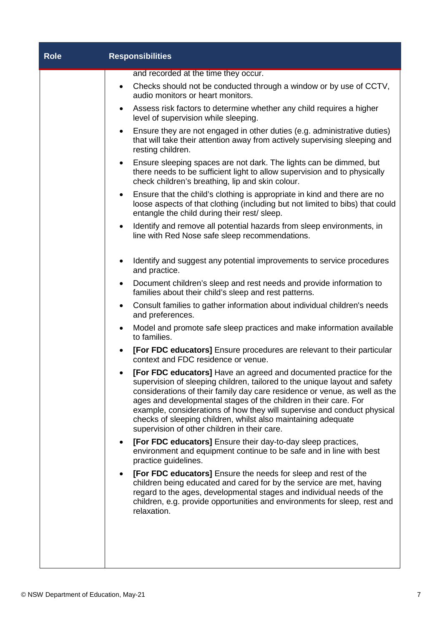| <b>Role</b> | <b>Responsibilities</b>                                                                                                                                                                                                                                                                                                                                                                                                                                                                               |  |
|-------------|-------------------------------------------------------------------------------------------------------------------------------------------------------------------------------------------------------------------------------------------------------------------------------------------------------------------------------------------------------------------------------------------------------------------------------------------------------------------------------------------------------|--|
|             | and recorded at the time they occur.                                                                                                                                                                                                                                                                                                                                                                                                                                                                  |  |
|             | Checks should not be conducted through a window or by use of CCTV,<br>audio monitors or heart monitors.                                                                                                                                                                                                                                                                                                                                                                                               |  |
|             | Assess risk factors to determine whether any child requires a higher<br>$\bullet$<br>level of supervision while sleeping.                                                                                                                                                                                                                                                                                                                                                                             |  |
|             | Ensure they are not engaged in other duties (e.g. administrative duties)<br>$\bullet$<br>that will take their attention away from actively supervising sleeping and<br>resting children.                                                                                                                                                                                                                                                                                                              |  |
|             | • Ensure sleeping spaces are not dark. The lights can be dimmed, but<br>there needs to be sufficient light to allow supervision and to physically<br>check children's breathing, lip and skin colour.                                                                                                                                                                                                                                                                                                 |  |
|             | Ensure that the child's clothing is appropriate in kind and there are no<br>$\bullet$<br>loose aspects of that clothing (including but not limited to bibs) that could<br>entangle the child during their rest/ sleep.                                                                                                                                                                                                                                                                                |  |
|             | Identify and remove all potential hazards from sleep environments, in<br>$\bullet$<br>line with Red Nose safe sleep recommendations.                                                                                                                                                                                                                                                                                                                                                                  |  |
|             | Identify and suggest any potential improvements to service procedures<br>and practice.                                                                                                                                                                                                                                                                                                                                                                                                                |  |
|             | Document children's sleep and rest needs and provide information to<br>٠<br>families about their child's sleep and rest patterns.                                                                                                                                                                                                                                                                                                                                                                     |  |
|             | Consult families to gather information about individual children's needs<br>$\bullet$<br>and preferences.                                                                                                                                                                                                                                                                                                                                                                                             |  |
|             | Model and promote safe sleep practices and make information available<br>$\bullet$<br>to families.                                                                                                                                                                                                                                                                                                                                                                                                    |  |
|             | [For FDC educators] Ensure procedures are relevant to their particular<br>context and FDC residence or venue.                                                                                                                                                                                                                                                                                                                                                                                         |  |
|             | <b>[For FDC educators]</b> Have an agreed and documented practice for the<br>supervision of sleeping children, tailored to the unique layout and safety<br>considerations of their family day care residence or venue, as well as the<br>ages and developmental stages of the children in their care. For<br>example, considerations of how they will supervise and conduct physical<br>checks of sleeping children, whilst also maintaining adequate<br>supervision of other children in their care. |  |
|             | <b>[For FDC educators]</b> Ensure their day-to-day sleep practices,<br>environment and equipment continue to be safe and in line with best<br>practice guidelines.                                                                                                                                                                                                                                                                                                                                    |  |
|             | [For FDC educators] Ensure the needs for sleep and rest of the<br>children being educated and cared for by the service are met, having<br>regard to the ages, developmental stages and individual needs of the<br>children, e.g. provide opportunities and environments for sleep, rest and<br>relaxation.                                                                                                                                                                                            |  |
|             |                                                                                                                                                                                                                                                                                                                                                                                                                                                                                                       |  |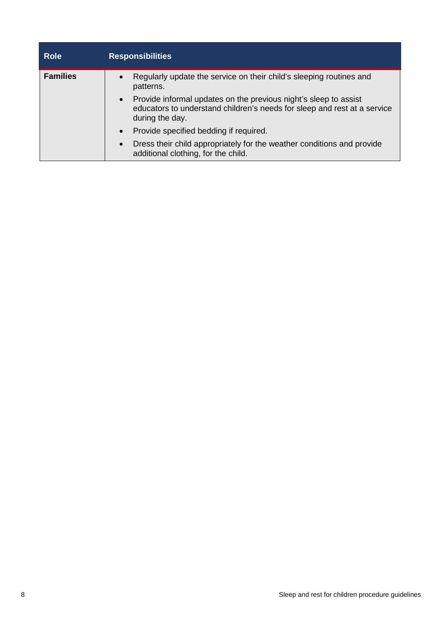| <b>Role</b>     | <b>Responsibilities</b>                                                                                                                                                      |
|-----------------|------------------------------------------------------------------------------------------------------------------------------------------------------------------------------|
| <b>Families</b> | Regularly update the service on their child's sleeping routines and<br>$\bullet$<br>patterns.                                                                                |
|                 | Provide informal updates on the previous night's sleep to assist<br>$\bullet$<br>educators to understand children's needs for sleep and rest at a service<br>during the day. |
|                 | Provide specified bedding if required.<br>$\bullet$                                                                                                                          |
|                 | Dress their child appropriately for the weather conditions and provide<br>$\bullet$<br>additional clothing, for the child.                                                   |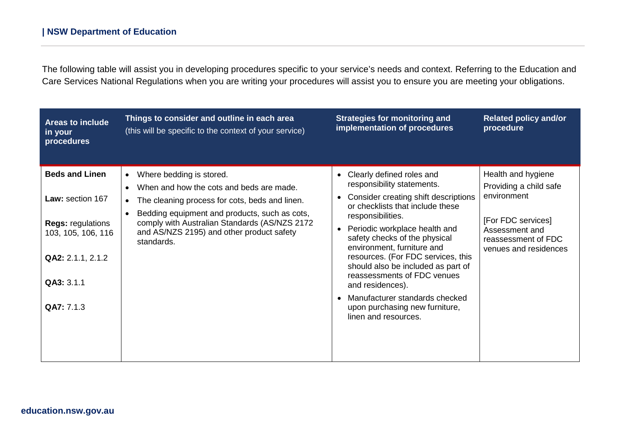The following table will assist you in developing procedures specific to your service's needs and context. Referring to the Education and Care Services National Regulations when you are writing your procedures will assist you to ensure you are meeting your obligations.

| <b>Areas to include</b><br>in your<br>procedures                                                                                             | Things to consider and outline in each area<br>(this will be specific to the context of your service)                                                                                                                                                                                                                      | <b>Strategies for monitoring and</b><br>implementation of procedures                                                                                                                                                                                                                                                                                                                                                                                                                                                       | <b>Related policy and/or</b><br>procedure                                                                                                           |
|----------------------------------------------------------------------------------------------------------------------------------------------|----------------------------------------------------------------------------------------------------------------------------------------------------------------------------------------------------------------------------------------------------------------------------------------------------------------------------|----------------------------------------------------------------------------------------------------------------------------------------------------------------------------------------------------------------------------------------------------------------------------------------------------------------------------------------------------------------------------------------------------------------------------------------------------------------------------------------------------------------------------|-----------------------------------------------------------------------------------------------------------------------------------------------------|
| <b>Beds and Linen</b><br>Law: section 167<br><b>Regs: regulations</b><br>103, 105, 106, 116<br>QA2: 2.1.1, 2.1.2<br>QA3: 3.1.1<br>QA7: 7.1.3 | Where bedding is stored.<br>$\bullet$<br>When and how the cots and beds are made.<br>$\bullet$<br>The cleaning process for cots, beds and linen.<br>$\bullet$<br>Bedding equipment and products, such as cots,<br>comply with Australian Standards (AS/NZS 2172<br>and AS/NZS 2195) and other product safety<br>standards. | Clearly defined roles and<br>$\bullet$<br>responsibility statements.<br>Consider creating shift descriptions<br>or checklists that include these<br>responsibilities.<br>Periodic workplace health and<br>$\bullet$<br>safety checks of the physical<br>environment, furniture and<br>resources. (For FDC services, this<br>should also be included as part of<br>reassessments of FDC venues<br>and residences).<br>Manufacturer standards checked<br>$\bullet$<br>upon purchasing new furniture,<br>linen and resources. | Health and hygiene<br>Providing a child safe<br>environment<br>[For FDC services]<br>Assessment and<br>reassessment of FDC<br>venues and residences |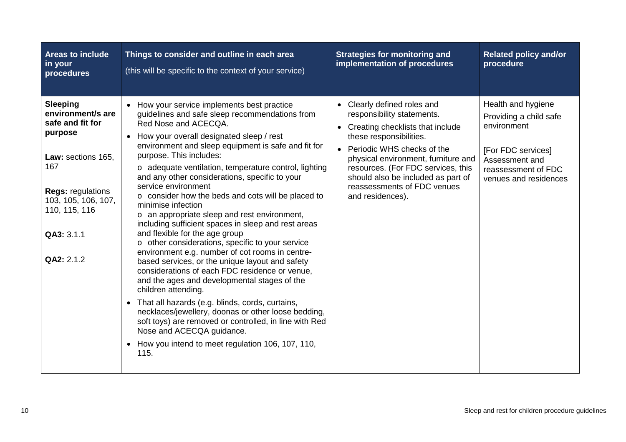| Areas to include<br>in your<br>procedures                                                                                                                                                        | Things to consider and outline in each area<br>(this will be specific to the context of your service)                                                                                                                                                                                                                                                                                                                                                                                                                                                                                                                                                                                                                                                                                                                                                                                                                                                                                                                                                                                                                                                                     | <b>Strategies for monitoring and</b><br>implementation of procedures                                                                                                                                                                                                                                                       | <b>Related policy and/or</b><br>procedure                                                                                                           |
|--------------------------------------------------------------------------------------------------------------------------------------------------------------------------------------------------|---------------------------------------------------------------------------------------------------------------------------------------------------------------------------------------------------------------------------------------------------------------------------------------------------------------------------------------------------------------------------------------------------------------------------------------------------------------------------------------------------------------------------------------------------------------------------------------------------------------------------------------------------------------------------------------------------------------------------------------------------------------------------------------------------------------------------------------------------------------------------------------------------------------------------------------------------------------------------------------------------------------------------------------------------------------------------------------------------------------------------------------------------------------------------|----------------------------------------------------------------------------------------------------------------------------------------------------------------------------------------------------------------------------------------------------------------------------------------------------------------------------|-----------------------------------------------------------------------------------------------------------------------------------------------------|
| <b>Sleeping</b><br>environment/s are<br>safe and fit for<br>purpose<br>Law: sections 165,<br>167<br><b>Regs: regulations</b><br>103, 105, 106, 107,<br>110, 115, 116<br>QA3: 3.1.1<br>QA2: 2.1.2 | • How your service implements best practice<br>guidelines and safe sleep recommendations from<br>Red Nose and ACECQA.<br>• How your overall designated sleep / rest<br>environment and sleep equipment is safe and fit for<br>purpose. This includes:<br>o adequate ventilation, temperature control, lighting<br>and any other considerations, specific to your<br>service environment<br>o consider how the beds and cots will be placed to<br>minimise infection<br>o an appropriate sleep and rest environment,<br>including sufficient spaces in sleep and rest areas<br>and flexible for the age group<br>o other considerations, specific to your service<br>environment e.g. number of cot rooms in centre-<br>based services, or the unique layout and safety<br>considerations of each FDC residence or venue,<br>and the ages and developmental stages of the<br>children attending.<br>That all hazards (e.g. blinds, cords, curtains,<br>$\bullet$<br>necklaces/jewellery, doonas or other loose bedding,<br>soft toys) are removed or controlled, in line with Red<br>Nose and ACECQA guidance.<br>How you intend to meet regulation 106, 107, 110,<br>115. | Clearly defined roles and<br>responsibility statements.<br>Creating checklists that include<br>these responsibilities.<br>Periodic WHS checks of the<br>physical environment, furniture and<br>resources. (For FDC services, this<br>should also be included as part of<br>reassessments of FDC venues<br>and residences). | Health and hygiene<br>Providing a child safe<br>environment<br>[For FDC services]<br>Assessment and<br>reassessment of FDC<br>venues and residences |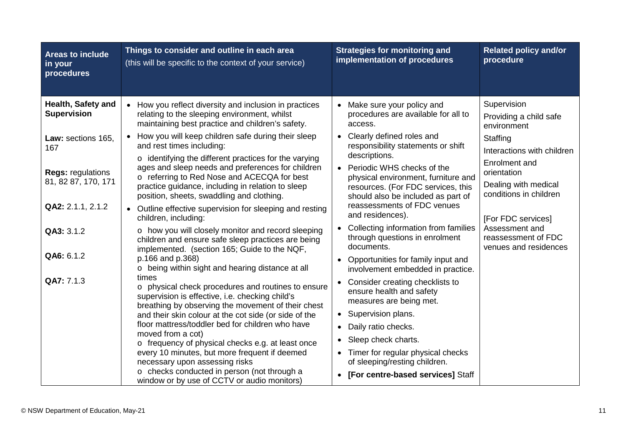| <b>Areas to include</b><br>in your<br>procedures | Things to consider and outline in each area<br>(this will be specific to the context of your service)                                                                                                            | <b>Strategies for monitoring and</b><br>implementation of procedures                                            | <b>Related policy and/or</b><br>procedure                              |
|--------------------------------------------------|------------------------------------------------------------------------------------------------------------------------------------------------------------------------------------------------------------------|-----------------------------------------------------------------------------------------------------------------|------------------------------------------------------------------------|
| Health, Safety and<br><b>Supervision</b>         | • How you reflect diversity and inclusion in practices<br>relating to the sleeping environment, whilst<br>maintaining best practice and children's safety.                                                       | Make sure your policy and<br>procedures are available for all to<br>access.                                     | Supervision<br>Providing a child safe                                  |
| Law: sections 165,<br>167                        | How you will keep children safe during their sleep<br>$\bullet$<br>and rest times including:<br>$\circ$ identifying the different practices for the varying<br>ages and sleep needs and preferences for children | Clearly defined roles and<br>responsibility statements or shift<br>descriptions.<br>Periodic WHS checks of the  | environment<br>Staffing<br>Interactions with children<br>Enrolment and |
| <b>Regs: regulations</b><br>81, 82 87, 170, 171  | o referring to Red Nose and ACECQA for best<br>practice guidance, including in relation to sleep<br>position, sheets, swaddling and clothing.                                                                    | physical environment, furniture and<br>resources. (For FDC services, this<br>should also be included as part of | orientation<br>Dealing with medical<br>conditions in children          |
| QA2: 2.1.1, 2.1.2                                | • Outline effective supervision for sleeping and resting<br>children, including:                                                                                                                                 | reassessments of FDC venues<br>and residences).                                                                 | [For FDC services]                                                     |
| QA3: 3.1.2                                       | o how you will closely monitor and record sleeping<br>children and ensure safe sleep practices are being<br>implemented. (section 165; Guide to the NQF,                                                         | Collecting information from families<br>through questions in enrolment<br>documents.                            | Assessment and<br>reassessment of FDC<br>venues and residences         |
| QA6: 6.1.2                                       | p.166 and p.368)<br>o being within sight and hearing distance at all                                                                                                                                             | Opportunities for family input and<br>involvement embedded in practice.                                         |                                                                        |
| QA7: 7.1.3                                       | times<br>o physical check procedures and routines to ensure<br>supervision is effective, i.e. checking child's<br>breathing by observing the movement of their chest                                             | Consider creating checklists to<br>ensure health and safety<br>measures are being met.                          |                                                                        |
|                                                  | and their skin colour at the cot side (or side of the                                                                                                                                                            | Supervision plans.<br>$\bullet$                                                                                 |                                                                        |
|                                                  | floor mattress/toddler bed for children who have<br>moved from a cot)                                                                                                                                            | Daily ratio checks.<br>$\bullet$                                                                                |                                                                        |
|                                                  | o frequency of physical checks e.g. at least once                                                                                                                                                                | Sleep check charts.                                                                                             |                                                                        |
|                                                  | every 10 minutes, but more frequent if deemed<br>necessary upon assessing risks                                                                                                                                  | Timer for regular physical checks<br>of sleeping/resting children.                                              |                                                                        |
|                                                  | o checks conducted in person (not through a<br>window or by use of CCTV or audio monitors)                                                                                                                       | [For centre-based services] Staff<br>$\bullet$                                                                  |                                                                        |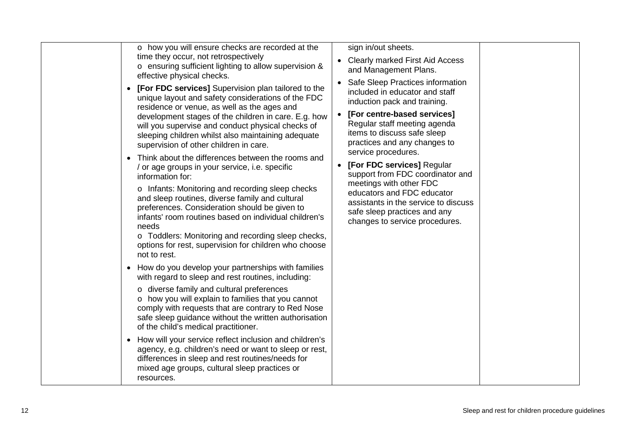| o how you will ensure checks are recorded at the<br>time they occur, not retrospectively<br>o ensuring sufficient lighting to allow supervision &<br>effective physical checks.                                                                                                                                                                                                                                                                                                                                                                                                                                                                                                                                                                                                                                                                           | sign in/out sheets.<br>• Clearly marked First Aid Access<br>and Management Plans.                                                                                                                                                                                                                                                                                                                                                                                                              |
|-----------------------------------------------------------------------------------------------------------------------------------------------------------------------------------------------------------------------------------------------------------------------------------------------------------------------------------------------------------------------------------------------------------------------------------------------------------------------------------------------------------------------------------------------------------------------------------------------------------------------------------------------------------------------------------------------------------------------------------------------------------------------------------------------------------------------------------------------------------|------------------------------------------------------------------------------------------------------------------------------------------------------------------------------------------------------------------------------------------------------------------------------------------------------------------------------------------------------------------------------------------------------------------------------------------------------------------------------------------------|
| [For FDC services] Supervision plan tailored to the<br>unique layout and safety considerations of the FDC<br>residence or venue, as well as the ages and<br>development stages of the children in care. E.g. how<br>will you supervise and conduct physical checks of<br>sleeping children whilst also maintaining adequate<br>supervision of other children in care.<br>Think about the differences between the rooms and<br>/ or age groups in your service, i.e. specific<br>information for:<br>o Infants: Monitoring and recording sleep checks<br>and sleep routines, diverse family and cultural<br>preferences. Consideration should be given to<br>infants' room routines based on individual children's<br>needs<br>o Toddlers: Monitoring and recording sleep checks,<br>options for rest, supervision for children who choose<br>not to rest. | • Safe Sleep Practices information<br>included in educator and staff<br>induction pack and training.<br>[For centre-based services]<br>Regular staff meeting agenda<br>items to discuss safe sleep<br>practices and any changes to<br>service procedures.<br>[For FDC services] Regular<br>support from FDC coordinator and<br>meetings with other FDC<br>educators and FDC educator<br>assistants in the service to discuss<br>safe sleep practices and any<br>changes to service procedures. |
| How do you develop your partnerships with families<br>$\bullet$<br>with regard to sleep and rest routines, including:<br>o diverse family and cultural preferences<br>o how you will explain to families that you cannot<br>comply with requests that are contrary to Red Nose<br>safe sleep guidance without the written authorisation<br>of the child's medical practitioner.<br>How will your service reflect inclusion and children's<br>agency, e.g. children's need or want to sleep or rest,<br>differences in sleep and rest routines/needs for<br>mixed age groups, cultural sleep practices or<br>resources.                                                                                                                                                                                                                                    |                                                                                                                                                                                                                                                                                                                                                                                                                                                                                                |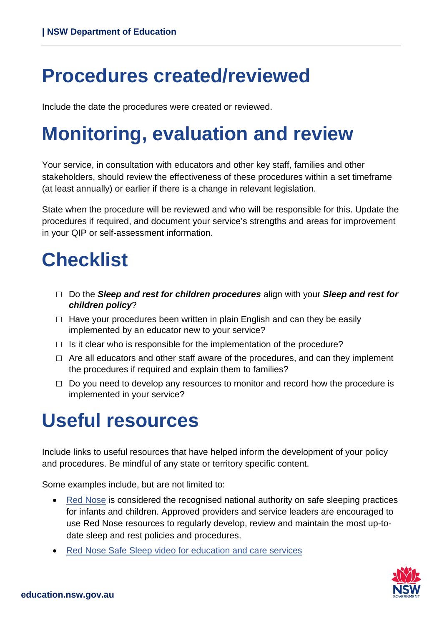## <span id="page-12-0"></span>**Procedures created/reviewed**

Include the date the procedures were created or reviewed.

# <span id="page-12-1"></span>**Monitoring, evaluation and review**

Your service, in consultation with educators and other key staff, families and other stakeholders, should review the effectiveness of these procedures within a set timeframe (at least annually) or earlier if there is a change in relevant legislation.

State when the procedure will be reviewed and who will be responsible for this. Update the procedures if required, and document your service's strengths and areas for improvement in your QIP or self-assessment information.

# <span id="page-12-2"></span>**Checklist**

- □ Do the *Sleep and rest for children procedures* align with your *Sleep and rest for children policy*?
- $\Box$  Have your procedures been written in plain English and can they be easily implemented by an educator new to your service?
- $\Box$  Is it clear who is responsible for the implementation of the procedure?
- $\Box$  Are all educators and other staff aware of the procedures, and can they implement the procedures if required and explain them to families?
- <span id="page-12-3"></span> $\Box$  Do you need to develop any resources to monitor and record how the procedure is implemented in your service?

#### **Useful resources**

Include links to useful resources that have helped inform the development of your policy and procedures. Be mindful of any state or territory specific content.

Some examples include, but are not limited to:

- [Red Nose](https://rednose.org.au/) is considered the recognised national authority on safe sleeping practices for infants and children. Approved providers and service leaders are encouraged to use Red Nose resources to regularly develop, review and maintain the most up-todate sleep and rest policies and procedures.
- [Red Nose Safe Sleep video for education and care services](https://education.nsw.gov.au/early-childhood-education/whats-happening-in-the-early-childhood-education-sector/resource-library/safe-sleep-red-nose)